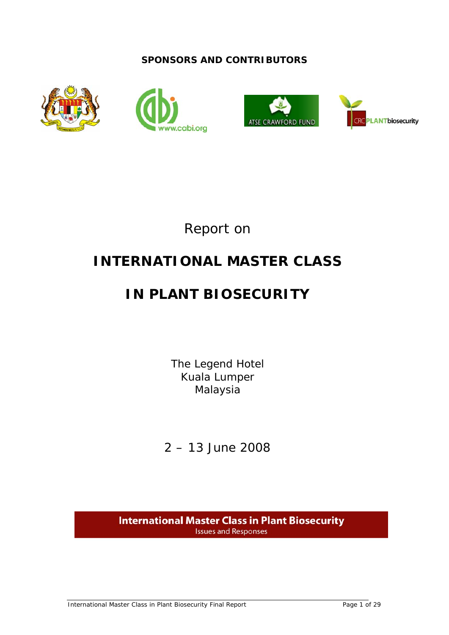## **SPONSORS AND CONTRIBUTORS**







Report on

# **INTERNATIONAL MASTER CLASS**

# **IN PLANT BIOSECURITY**

The Legend Hotel Kuala Lumper Malaysia

2 – 13 June 2008

**International Master Class in Plant Biosecurity Issues and Responses**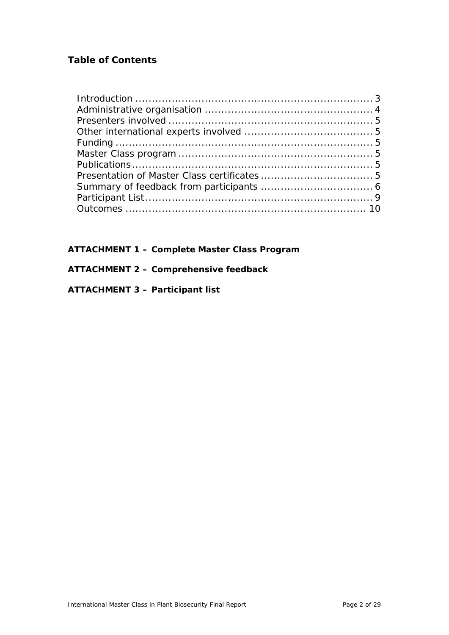## **Table of Contents**

**ATTACHMENT 1 – Complete Master Class Program** 

## **ATTACHMENT 2 – Comprehensive feedback**

## **ATTACHMENT 3 – Participant list**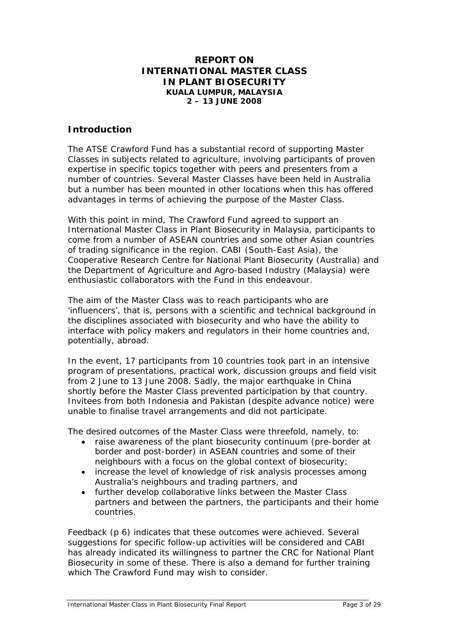### **REPORT ON INTERNATIONAL MASTER CLASS IN PLANT BIOSECURITY KUALA LUMPUR, MALAYSIA 2 – 13 JUNE 2008**

## <span id="page-2-0"></span>**Introduction**

The ATSE Crawford Fund has a substantial record of supporting Master Classes in subjects related to agriculture, involving participants of proven expertise in specific topics together with peers and presenters from a number of countries. Several Master Classes have been held in Australia but a number has been mounted in other locations when this has offered advantages in terms of achieving the purpose of the Master Class.

With this point in mind, The Crawford Fund agreed to support an International Master Class in Plant Biosecurity in Malaysia, participants to come from a number of ASEAN countries and some other Asian countries of trading significance in the region. CABI (South-East Asia), the Cooperative Research Centre for National Plant Biosecurity (Australia) and the Department of Agriculture and Agro-based Industry (Malaysia) were enthusiastic collaborators with the Fund in this endeavour.

The aim of the Master Class was to reach participants who are 'influencers', that is, persons with a scientific and technical background in the disciplines associated with biosecurity and who have the ability to interface with policy makers and regulators in their home countries and, potentially, abroad.

In the event, 17 participants from 10 countries took part in an intensive program of presentations, practical work, discussion groups and field visit from 2 June to 13 June 2008. Sadly, the major earthquake in China shortly before the Master Class prevented participation by that country. Invitees from both Indonesia and Pakistan (despite advance notice) were unable to finalise travel arrangements and did not participate.

The desired outcomes of the Master Class were threefold, namely, to:

- raise awareness of the plant biosecurity continuum (pre-border at border and post-border) in ASEAN countries and some of their neighbours with a focus on the global context of biosecurity;
- increase the level of knowledge of risk analysis processes among Australia's neighbours and trading partners, and
- further develop collaborative links between the Master Class partners and between the partners, the participants and their home countries.

Feedback (p 6) indicates that these outcomes were achieved. Several suggestions for specific follow-up activities will be considered and CABI has already indicated its willingness to partner the CRC for National Plant Biosecurity in some of these. There is also a demand for further training which The Crawford Fund may wish to consider.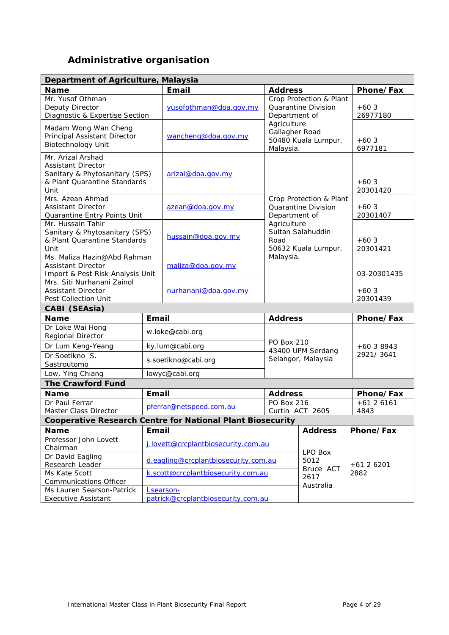## **Administrative organisation**

<span id="page-3-0"></span>

| Department of Agriculture, Malaysia                               |                                      |                                     |                                                              |                         |             |
|-------------------------------------------------------------------|--------------------------------------|-------------------------------------|--------------------------------------------------------------|-------------------------|-------------|
| <b>Name</b>                                                       |                                      | Email                               |                                                              | <b>Address</b>          | Phone/Fax   |
| Mr. Yusof Othman                                                  |                                      |                                     |                                                              | Crop Protection & Plant |             |
| Deputy Director                                                   |                                      | yusofothman@doa.gov.my              |                                                              | Quarantine Division     | $+603$      |
| Diagnostic & Expertise Section                                    |                                      |                                     | Department of<br>Agriculture                                 |                         | 26977180    |
| Madam Wong Wan Cheng                                              |                                      |                                     | Gallagher Road                                               |                         |             |
| Principal Assistant Director                                      |                                      | wancheng@doa.gov.my                 |                                                              | 50480 Kuala Lumpur,     | $+603$      |
| <b>Biotechnology Unit</b>                                         |                                      |                                     | Malaysia.                                                    |                         | 6977181     |
| Mr. Arizal Arshad                                                 |                                      |                                     |                                                              |                         |             |
| <b>Assistant Director</b>                                         |                                      |                                     |                                                              |                         |             |
| Sanitary & Phytosanitary (SPS)<br>& Plant Quarantine Standards    |                                      | arizal@doa.gov.my                   |                                                              |                         | $+60.3$     |
| Unit                                                              |                                      |                                     |                                                              |                         | 20301420    |
| Mrs. Azean Ahmad                                                  |                                      |                                     |                                                              | Crop Protection & Plant |             |
| <b>Assistant Director</b>                                         |                                      | azean@doa.gov.my                    |                                                              | Quarantine Division     | $+603$      |
| Quarantine Entry Points Unit                                      |                                      |                                     | Department of                                                |                         | 20301407    |
| Mr. Hussain Tahir                                                 |                                      |                                     | Agriculture                                                  |                         |             |
| Sanitary & Phytosanitary (SPS)                                    |                                      | hussain@doa.gov.my                  |                                                              | Sultan Salahuddin       |             |
| & Plant Quarantine Standards                                      |                                      |                                     | Road                                                         |                         | $+603$      |
| Unit                                                              |                                      |                                     |                                                              | 50632 Kuala Lumpur,     | 20301421    |
| Ms. Maliza Hazin@Abd Rahman<br><b>Assistant Director</b>          |                                      |                                     | Malaysia.                                                    |                         |             |
| Import & Pest Risk Analysis Unit                                  |                                      | maliza@doa.gov.my                   |                                                              |                         | 03-20301435 |
| Mrs. Siti Nurhanani Zainol                                        |                                      |                                     |                                                              |                         |             |
| <b>Assistant Director</b>                                         |                                      | nurhanani@doa.gov.my                |                                                              |                         | $+603$      |
| Pest Collection Unit                                              |                                      |                                     |                                                              |                         | 20301439    |
| CABI (SEAsia)                                                     |                                      |                                     |                                                              |                         |             |
| <b>Email</b><br><b>Name</b>                                       |                                      |                                     | <b>Address</b>                                               |                         | Phone/Fax   |
| Dr Loke Wai Hong                                                  |                                      | w.loke@cabi.org                     |                                                              |                         |             |
| Regional Director                                                 |                                      |                                     | <b>PO Box 210</b><br>43400 UPM Serdang<br>Selangor, Malaysia |                         |             |
| Dr Lum Keng-Yeang                                                 |                                      | ky.lum@cabi.org                     |                                                              |                         | $+6038943$  |
| Dr Soetikno S.<br>Sastroutomo                                     |                                      | s.soetikno@cabi.org                 |                                                              |                         | 2921/3641   |
| Low, Ying Chiang                                                  |                                      | lowyc@cabi.org                      |                                                              |                         |             |
| <b>The Crawford Fund</b>                                          |                                      |                                     |                                                              |                         |             |
| <b>Name</b>                                                       | Email                                |                                     | <b>Address</b>                                               |                         | Phone/Fax   |
| Dr Paul Ferrar                                                    |                                      |                                     | PO Box 216                                                   |                         | $+6126161$  |
| <b>Master Class Director</b>                                      |                                      | pferrar@netspeed.com.au             |                                                              | Curtin ACT 2605         | 4843        |
| <b>Cooperative Research Centre for National Plant Biosecurity</b> |                                      |                                     |                                                              |                         |             |
| <b>Name</b>                                                       | Email                                |                                     |                                                              | <b>Address</b>          | Phone/Fax   |
| Professor John Lovett                                             |                                      |                                     |                                                              |                         |             |
| Chairman                                                          |                                      | j.lovett@crcplantbiosecurity.com.au |                                                              |                         |             |
| Dr David Eagling                                                  |                                      |                                     |                                                              | LPO Box                 |             |
| Research Leader                                                   | d.eagling@crcplantbiosecurity.com.au |                                     |                                                              | 5012<br>Bruce ACT       | $+6126201$  |
| Ms Kate Scott                                                     | k.scott@crcplantbiosecurity.com.au   |                                     |                                                              | 2617                    | 2882        |
| Communications Officer                                            |                                      |                                     |                                                              | Australia               |             |
| Ms Lauren Searson-Patrick                                         |                                      | I.searson-                          |                                                              |                         |             |
| <b>Executive Assistant</b>                                        |                                      | patrick@crcplantbiosecurity.com.au  |                                                              |                         |             |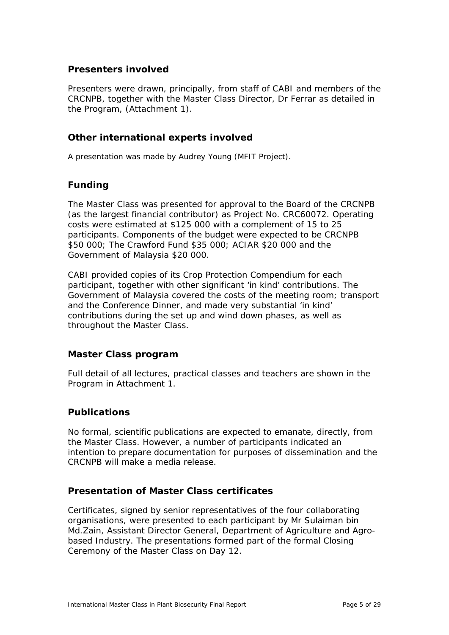## <span id="page-4-0"></span>**Presenters involved**

Presenters were drawn, principally, from staff of CABI and members of the CRCNPB, together with the Master Class Director, Dr Ferrar as detailed in the Program, (Attachment 1).

## **Other international experts involved**

A presentation was made by Audrey Young (MFIT Project).

## **Funding**

The Master Class was presented for approval to the Board of the CRCNPB (as the largest financial contributor) as Project No. CRC60072. Operating costs were estimated at \$125 000 with a complement of 15 to 25 participants. Components of the budget were expected to be CRCNPB \$50 000; The Crawford Fund \$35 000; ACIAR \$20 000 and the Government of Malaysia \$20 000.

CABI provided copies of its Crop Protection Compendium for each participant, together with other significant 'in kind' contributions. The Government of Malaysia covered the costs of the meeting room; transport and the Conference Dinner, and made very substantial 'in kind' contributions during the set up and wind down phases, as well as throughout the Master Class.

## **Master Class program**

Full detail of all lectures, practical classes and teachers are shown in the Program in Attachment 1.

## **Publications**

No formal, scientific publications are expected to emanate, directly, from the Master Class. However, a number of participants indicated an intention to prepare documentation for purposes of dissemination and the CRCNPB will make a media release.

## **Presentation of Master Class certificates**

Certificates, signed by senior representatives of the four collaborating organisations, were presented to each participant by Mr Sulaiman bin Md.Zain, Assistant Director General, Department of Agriculture and Agrobased Industry. The presentations formed part of the formal Closing Ceremony of the Master Class on Day 12.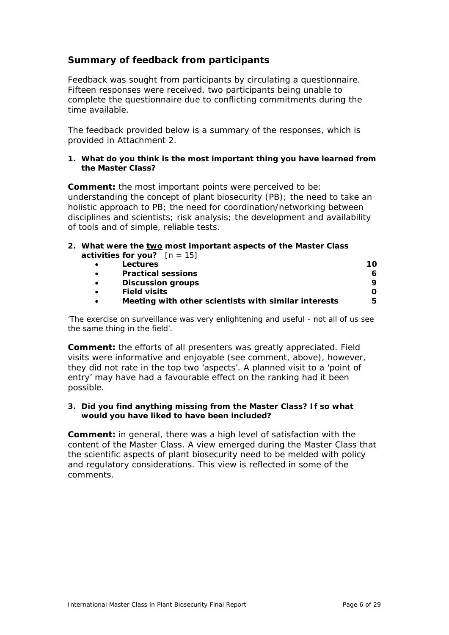## <span id="page-5-0"></span>**Summary of feedback from participants**

Feedback was sought from participants by circulating a questionnaire. Fifteen responses were received, two participants being unable to complete the questionnaire due to conflicting commitments during the time available.

The feedback provided below is a summary of the responses, which is provided in Attachment 2.

#### **1. What do you think is the most important thing you have learned from the Master Class?**

**Comment:** the most important points were perceived to be: understanding the concept of plant biosecurity (PB); the need to take an holistic approach to PB; the need for coordination/networking between disciplines and scientists; risk analysis; the development and availability of tools and of simple, reliable tests.

#### **2. What were the two most important aspects of the Master Class activities for you?** [n = 15]

|           | Lectures                                             | 10 |
|-----------|------------------------------------------------------|----|
|           | <b>Practical sessions</b>                            |    |
|           | <b>Discussion groups</b>                             |    |
| $\bullet$ | <b>Field visits</b>                                  |    |
|           | Meeting with other scientists with similar interests |    |

*'The exercise on surveillance was very enlightening and useful - not all of us see the same thing in the field'.* 

**Comment:** the efforts of all presenters was greatly appreciated. Field visits were informative and enjoyable (see comment, above), however, they did not rate in the top two 'aspects'. A planned visit to a 'point of entry' may have had a favourable effect on the ranking had it been possible.

#### **3. Did you find anything missing from the Master Class? If so what would you have liked to have been included?**

**Comment:** in general, there was a high level of satisfaction with the content of the Master Class. A view emerged during the Master Class that the scientific aspects of plant biosecurity need to be melded with policy and regulatory considerations. This view is reflected in some of the comments.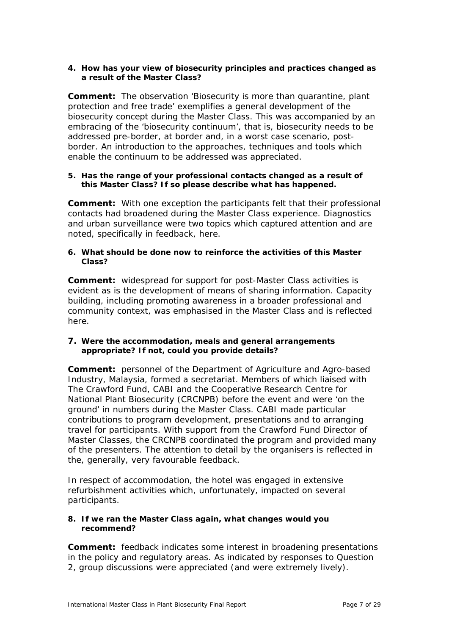#### **4. How has your view of biosecurity principles and practices changed as a result of the Master Class?**

**Comment:** The observation 'Biosecurity is more than quarantine, plant protection and free trade' exemplifies a general development of the biosecurity concept during the Master Class. This was accompanied by an embracing of the 'biosecurity continuum', that is, biosecurity needs to be addressed pre-border, at border and, in a worst case scenario, postborder. An introduction to the approaches, techniques and tools which enable the continuum to be addressed was appreciated.

#### **5. Has the range of your professional contacts changed as a result of this Master Class? If so please describe what has happened.**

**Comment:** With one exception the participants felt that their professional contacts had broadened during the Master Class experience. Diagnostics and urban surveillance were two topics which captured attention and are noted, specifically in feedback, here.

#### **6. What should be done now to reinforce the activities of this Master Class?**

**Comment:** widespread for support for post-Master Class activities is evident as is the development of means of sharing information. Capacity building, including promoting awareness in a broader professional and community context, was emphasised in the Master Class and is reflected here.

#### **7. Were the accommodation, meals and general arrangements appropriate? If not, could you provide details?**

**Comment:** personnel of the Department of Agriculture and Agro-based Industry, Malaysia, formed a secretariat. Members of which liaised with The Crawford Fund, CABI and the Cooperative Research Centre for National Plant Biosecurity (CRCNPB) before the event and were 'on the ground' in numbers during the Master Class. CABI made particular contributions to program development, presentations and to arranging travel for participants. With support from the Crawford Fund Director of Master Classes, the CRCNPB coordinated the program and provided many of the presenters. The attention to detail by the organisers is reflected in the, generally, very favourable feedback.

In respect of accommodation, the hotel was engaged in extensive refurbishment activities which, unfortunately, impacted on several participants.

#### **8. If we ran the Master Class again, what changes would you recommend?**

**Comment:** feedback indicates some interest in broadening presentations in the policy and regulatory areas. As indicated by responses to Question 2, group discussions were appreciated (and were extremely lively).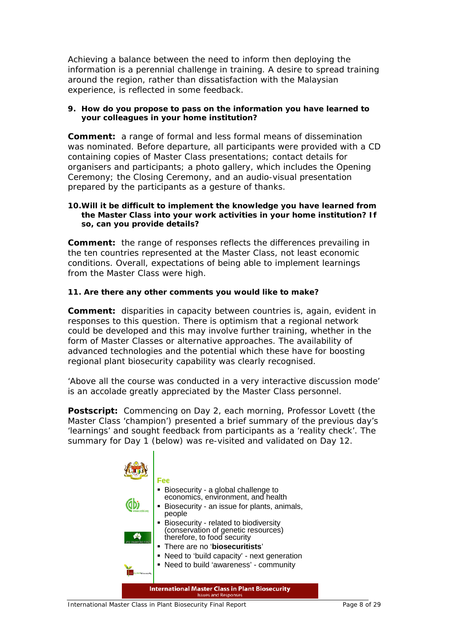Achieving a balance between the need to inform then deploying the information is a perennial challenge in training. A desire to spread training around the region, rather than dissatisfaction with the Malaysian experience, is reflected in some feedback.

#### **9. How do you propose to pass on the information you have learned to your colleagues in your home institution?**

**Comment:** a range of formal and less formal means of dissemination was nominated. Before departure, all participants were provided with a CD containing copies of Master Class presentations; contact details for organisers and participants; a photo gallery, which includes the Opening Ceremony; the Closing Ceremony, and an audio-visual presentation prepared by the participants as a gesture of thanks.

#### **10.Will it be difficult to implement the knowledge you have learned from the Master Class into your work activities in your home institution? If so, can you provide details?**

**Comment:** the range of responses reflects the differences prevailing in the ten countries represented at the Master Class, not least economic conditions. Overall, expectations of being able to implement learnings from the Master Class were high.

#### **11. Are there any other comments you would like to make?**

**Comment:** disparities in capacity between countries is, again, evident in responses to this question. There is optimism that a regional network could be developed and this may involve further training, whether in the form of Master Classes or alternative approaches. The availability of advanced technologies and the potential which these have for boosting regional plant biosecurity capability was clearly recognised.

*'Above all the course was conducted in a very interactive discussion mode'* is an accolade greatly appreciated by the Master Class personnel.

**Postscript:** Commencing on Day 2, each morning, Professor Lovett (the Master Class 'champion') presented a brief summary of the previous day's 'learnings' and sought feedback from participants as a 'reality check'. The summary for Day 1 (below) was re-visited and validated on Day 12.

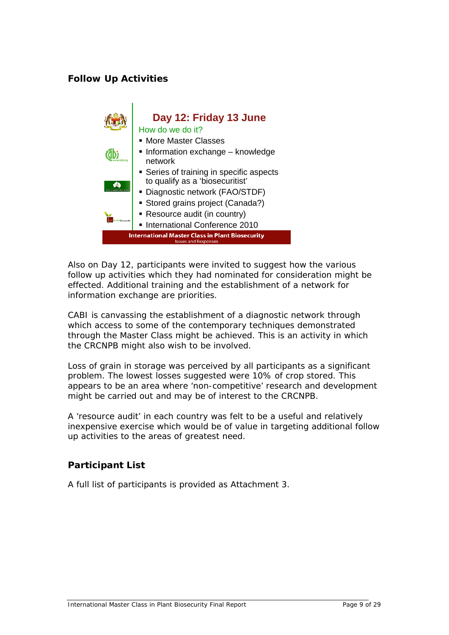## <span id="page-8-0"></span>**Follow Up Activities**



Also on Day 12, participants were invited to suggest how the various follow up activities which they had nominated for consideration might be effected. Additional training and the establishment of a network for information exchange are priorities.

CABI is canvassing the establishment of a diagnostic network through which access to some of the contemporary techniques demonstrated through the Master Class might be achieved. This is an activity in which the CRCNPB might also wish to be involved.

Loss of grain in storage was perceived by all participants as a significant problem. The lowest losses suggested were 10% of crop stored. This appears to be an area where 'non-competitive' research and development might be carried out and may be of interest to the CRCNPB.

A 'resource audit' in each country was felt to be a useful and relatively inexpensive exercise which would be of value in targeting additional follow up activities to the areas of greatest need.

## **Participant List**

A full list of participants is provided as Attachment 3.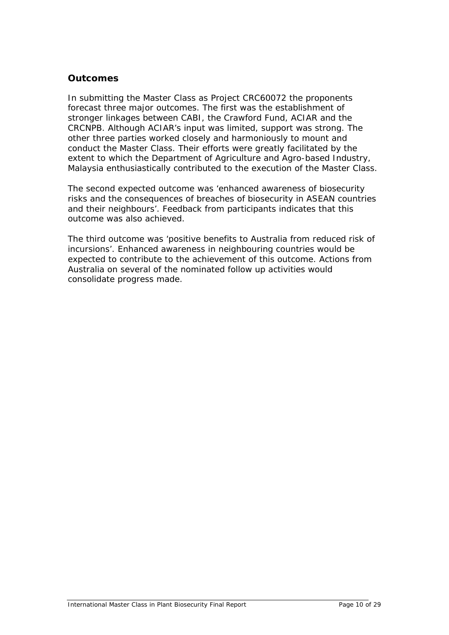## <span id="page-9-0"></span>**Outcomes**

In submitting the Master Class as Project CRC60072 the proponents forecast three major outcomes. The first was the establishment of stronger linkages between CABI, the Crawford Fund, ACIAR and the CRCNPB. Although ACIAR's input was limited, support was strong. The other three parties worked closely and harmoniously to mount and conduct the Master Class. Their efforts were greatly facilitated by the extent to which the Department of Agriculture and Agro-based Industry, Malaysia enthusiastically contributed to the execution of the Master Class.

The second expected outcome was 'enhanced awareness of biosecurity risks and the consequences of breaches of biosecurity in ASEAN countries and their neighbours'. Feedback from participants indicates that this outcome was also achieved.

The third outcome was 'positive benefits to Australia from reduced risk of incursions'. Enhanced awareness in neighbouring countries would be expected to contribute to the achievement of this outcome. Actions from Australia on several of the nominated follow up activities would consolidate progress made.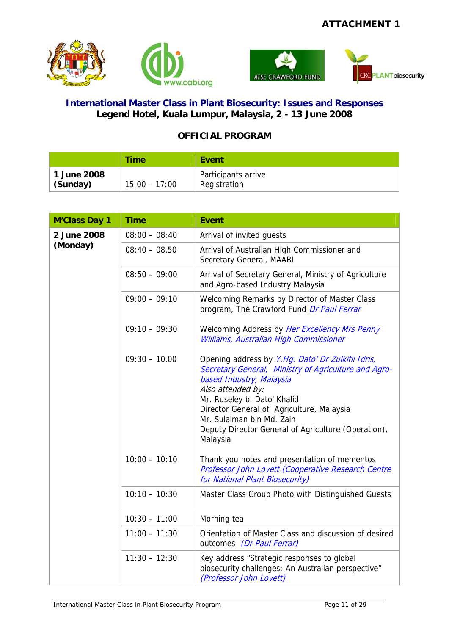



## **International Master Class in Plant Biosecurity: Issues and Responses Legend Hotel, Kuala Lumpur, Malaysia, 2 - 13 June 2008**

## **OFFICIAL PROGRAM**

|                         | Time            | Event                               |
|-------------------------|-----------------|-------------------------------------|
| 1 June 2008<br>(Sunday) | $15:00 - 17:00$ | Participants arrive<br>Registration |

| <b>M'Class Day 1</b> | <b>Time</b>     | <b>Event</b>                                                                                                                                                                                                                                                                                                                           |
|----------------------|-----------------|----------------------------------------------------------------------------------------------------------------------------------------------------------------------------------------------------------------------------------------------------------------------------------------------------------------------------------------|
| 2 June 2008          | $08:00 - 08:40$ | Arrival of invited guests                                                                                                                                                                                                                                                                                                              |
| (Monday)             | $08:40 - 08.50$ | Arrival of Australian High Commissioner and<br>Secretary General, MAABI                                                                                                                                                                                                                                                                |
|                      | $08:50 - 09:00$ | Arrival of Secretary General, Ministry of Agriculture<br>and Agro-based Industry Malaysia                                                                                                                                                                                                                                              |
|                      | $09:00 - 09:10$ | Welcoming Remarks by Director of Master Class<br>program, The Crawford Fund Dr Paul Ferrar                                                                                                                                                                                                                                             |
|                      | $09:10 - 09:30$ | Welcoming Address by Her Excellency Mrs Penny<br>Williams, Australian High Commissioner                                                                                                                                                                                                                                                |
|                      | $09:30 - 10.00$ | Opening address by Y.Hg. Dato' Dr Zulkifli Idris,<br>Secretary General, Ministry of Agriculture and Agro-<br>based Industry, Malaysia<br>Also attended by:<br>Mr. Ruseley b. Dato' Khalid<br>Director General of Agriculture, Malaysia<br>Mr. Sulaiman bin Md. Zain<br>Deputy Director General of Agriculture (Operation),<br>Malaysia |
|                      | $10:00 - 10:10$ | Thank you notes and presentation of mementos<br>Professor John Lovett (Cooperative Research Centre<br>for National Plant Biosecurity)                                                                                                                                                                                                  |
|                      | $10:10 - 10:30$ | Master Class Group Photo with Distinguished Guests                                                                                                                                                                                                                                                                                     |
|                      | $10:30 - 11:00$ | Morning tea                                                                                                                                                                                                                                                                                                                            |
|                      | $11:00 - 11:30$ | Orientation of Master Class and discussion of desired<br>outcomes (Dr Paul Ferrar)                                                                                                                                                                                                                                                     |
|                      | $11:30 - 12:30$ | Key address "Strategic responses to global<br>biosecurity challenges: An Australian perspective"<br>(Professor John Lovett)                                                                                                                                                                                                            |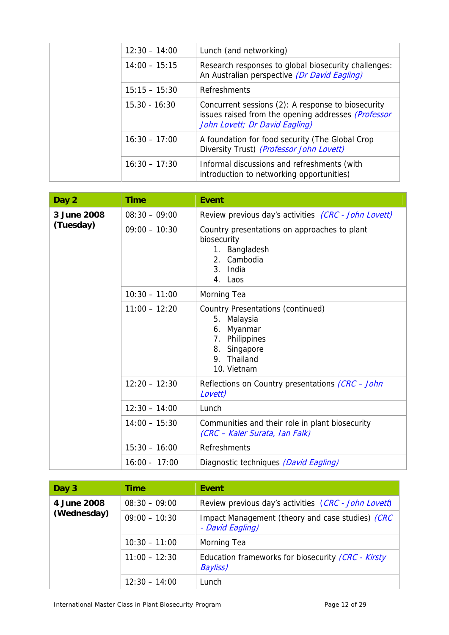| $12:30 - 14:00$ | Lunch (and networking)                                                                                                                      |
|-----------------|---------------------------------------------------------------------------------------------------------------------------------------------|
| $14:00 - 15:15$ | Research responses to global biosecurity challenges:<br>An Australian perspective (Dr David Eagling)                                        |
| $15:15 - 15:30$ | Refreshments                                                                                                                                |
| $15.30 - 16:30$ | Concurrent sessions (2): A response to biosecurity<br>issues raised from the opening addresses (Professor<br>John Lovett; Dr David Eagling) |
| $16:30 - 17:00$ | A foundation for food security (The Global Crop<br>Diversity Trust) (Professor John Lovett)                                                 |
| $16:30 - 17:30$ | Informal discussions and refreshments (with<br>introduction to networking opportunities)                                                    |

| Day 2       | <b>Time</b>     | <b>Event</b>                                                                                                                   |
|-------------|-----------------|--------------------------------------------------------------------------------------------------------------------------------|
| 3 June 2008 | $08:30 - 09:00$ | Review previous day's activities (CRC - John Lovett)                                                                           |
| (Tuesday)   | $09:00 - 10:30$ | Country presentations on approaches to plant<br>biosecurity<br>1. Bangladesh<br>2. Cambodia<br>3. India<br>4. Laos             |
|             | $10:30 - 11:00$ | Morning Tea                                                                                                                    |
|             | $11:00 - 12:20$ | Country Presentations (continued)<br>5. Malaysia<br>6. Myanmar<br>7. Philippines<br>8. Singapore<br>9. Thailand<br>10. Vietnam |
|             | $12:20 - 12:30$ | Reflections on Country presentations (CRC - John<br>Lovett)                                                                    |
|             | $12:30 - 14:00$ | Lunch                                                                                                                          |
|             | $14:00 - 15:30$ | Communities and their role in plant biosecurity<br>(CRC – Kaler Surata, Ian Falk)                                              |
|             | $15:30 - 16:00$ | Refreshments                                                                                                                   |
|             | $16:00 - 17:00$ | Diagnostic techniques (David Eagling)                                                                                          |

| Day 3       | <b>Time</b>     | Event                                                                 |
|-------------|-----------------|-----------------------------------------------------------------------|
| 4 June 2008 | $08:30 - 09:00$ | Review previous day's activities (CRC - John Lovett)                  |
| (Wednesday) | $09:00 - 10:30$ | Impact Management (theory and case studies) (CRC<br>- David Eagling)  |
|             | $10:30 - 11:00$ | Morning Tea                                                           |
|             | $11:00 - 12:30$ | Education frameworks for biosecurity (CRC - Kirsty<br><b>Bayliss)</b> |
|             | $12:30 - 14:00$ | Lunch                                                                 |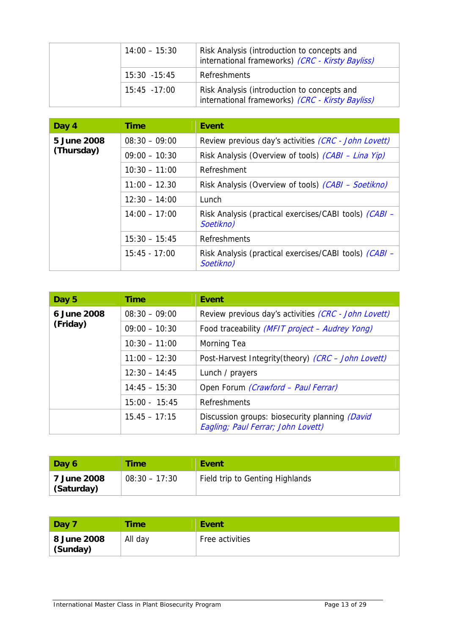| $14:00 - 15:30$ | Risk Analysis (introduction to concepts and<br>international frameworks) (CRC - Kirsty Bayliss) |
|-----------------|-------------------------------------------------------------------------------------------------|
| $15:30 - 15:45$ | Refreshments                                                                                    |
| $15:45 - 17:00$ | Risk Analysis (introduction to concepts and<br>international frameworks) (CRC - Kirsty Bayliss) |

| Day 4       | <b>Time</b>     | Event                                                               |
|-------------|-----------------|---------------------------------------------------------------------|
| 5 June 2008 | $08:30 - 09:00$ | Review previous day's activities (CRC - John Lovett)                |
| (Thursday)  | $09:00 - 10:30$ | Risk Analysis (Overview of tools) (CABI - Lina Yip)                 |
|             | $10:30 - 11:00$ | Refreshment                                                         |
|             | $11:00 - 12.30$ | Risk Analysis (Overview of tools) (CABI - Soetikno)                 |
|             | $12:30 - 14:00$ | Lunch                                                               |
|             | $14:00 - 17:00$ | Risk Analysis (practical exercises/CABI tools) (CABI -<br>Soetikno) |
|             | $15:30 - 15:45$ | Refreshments                                                        |
|             | $15:45 - 17:00$ | Risk Analysis (practical exercises/CABI tools) (CABI -<br>Soetikno) |

| Day 5       | <b>Time</b>     | Event                                                                                |
|-------------|-----------------|--------------------------------------------------------------------------------------|
| 6 June 2008 | $08:30 - 09:00$ | Review previous day's activities (CRC - John Lovett)                                 |
| (Friday)    | $09:00 - 10:30$ | Food traceability (MFIT project - Audrey Yong)                                       |
|             | $10:30 - 11:00$ | Morning Tea                                                                          |
|             | $11:00 - 12:30$ | Post-Harvest Integrity(theory) (CRC - John Lovett)                                   |
|             | $12:30 - 14:45$ | Lunch / prayers                                                                      |
|             | $14:45 - 15:30$ | Open Forum (Crawford - Paul Ferrar)                                                  |
|             | $15:00 - 15:45$ | Refreshments                                                                         |
|             | $15.45 - 17:15$ | Discussion groups: biosecurity planning (David<br>Eagling; Paul Ferrar; John Lovett) |

| Day 6                     | <b>Time</b>     | Event                           |
|---------------------------|-----------------|---------------------------------|
| 7 June 2008<br>(Saturday) | $08:30 - 17:30$ | Field trip to Genting Highlands |

| Day 7                   | Time    | Event           |
|-------------------------|---------|-----------------|
| 8 June 2008<br>(Sunday) | All day | Free activities |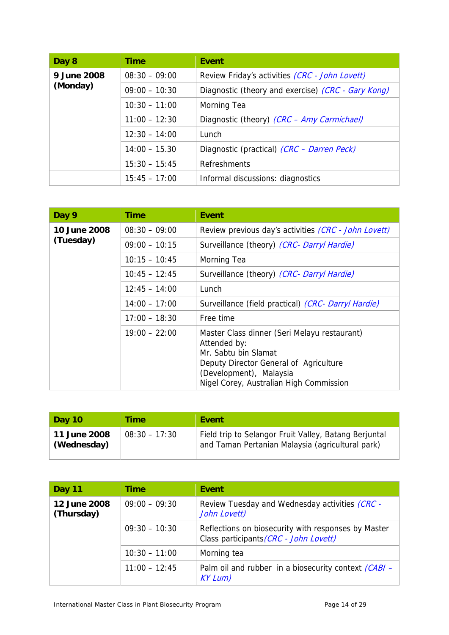| Day 8       | <b>Time</b>     | <b>Event</b>                                       |  |
|-------------|-----------------|----------------------------------------------------|--|
| 9 June 2008 | $08:30 - 09:00$ | Review Friday's activities (CRC - John Lovett)     |  |
| (Monday)    | $09:00 - 10:30$ | Diagnostic (theory and exercise) (CRC - Gary Kong) |  |
|             | $10:30 - 11:00$ | Morning Tea                                        |  |
|             | $11:00 - 12:30$ | Diagnostic (theory) (CRC - Amy Carmichael)         |  |
|             | $12:30 - 14:00$ | Lunch                                              |  |
|             | $14:00 - 15.30$ | Diagnostic (practical) (CRC - Darren Peck)         |  |
|             | $15:30 - 15:45$ | Refreshments                                       |  |
|             | $15:45 - 17:00$ | Informal discussions: diagnostics                  |  |

| Day 9               | <b>Time</b>     | Event                                                                                                                                                                                                |
|---------------------|-----------------|------------------------------------------------------------------------------------------------------------------------------------------------------------------------------------------------------|
| <b>10 June 2008</b> | $08:30 - 09:00$ | Review previous day's activities (CRC - John Lovett)                                                                                                                                                 |
| (Tuesday)           | $09:00 - 10:15$ | Surveillance (theory) (CRC- Darryl Hardie)                                                                                                                                                           |
|                     | $10:15 - 10:45$ | Morning Tea                                                                                                                                                                                          |
|                     | $10:45 - 12:45$ | Surveillance (theory) (CRC- Darryl Hardie)                                                                                                                                                           |
|                     | $12:45 - 14:00$ | Lunch                                                                                                                                                                                                |
|                     | $14:00 - 17:00$ | Surveillance (field practical) (CRC- Darryl Hardie)                                                                                                                                                  |
|                     | $17:00 - 18:30$ | Free time                                                                                                                                                                                            |
|                     | $19:00 - 22:00$ | Master Class dinner (Seri Melayu restaurant)<br>Attended by:<br>Mr. Sabtu bin Slamat<br>Deputy Director General of Agriculture<br>(Development), Malaysia<br>Nigel Corey, Australian High Commission |

| <b>Day 10</b>               | Time            | Event                                                                                                     |
|-----------------------------|-----------------|-----------------------------------------------------------------------------------------------------------|
| 11 June 2008<br>(Wednesday) | $08:30 - 17:30$ | Field trip to Selangor Fruit Valley, Batang Berjuntal<br>and Taman Pertanian Malaysia (agricultural park) |

| <b>Day 11</b>              | <b>Time</b>     | Event                                                                                         |  |
|----------------------------|-----------------|-----------------------------------------------------------------------------------------------|--|
| 12 June 2008<br>(Thursday) | $09:00 - 09:30$ | Review Tuesday and Wednesday activities <i>(CRC -</i><br>John Lovett)                         |  |
|                            | $09:30 - 10:30$ | Reflections on biosecurity with responses by Master<br>Class participants (CRC - John Lovett) |  |
|                            | $10:30 - 11:00$ | Morning tea                                                                                   |  |
|                            | $11:00 - 12:45$ | Palm oil and rubber in a biosecurity context <i>(CABI -</i><br>KYLum)                         |  |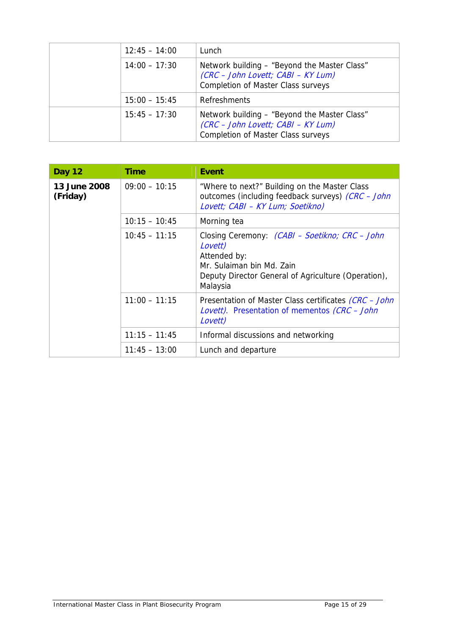| $12:45 - 14:00$ | Lunch                                                                                                                           |
|-----------------|---------------------------------------------------------------------------------------------------------------------------------|
| $14:00 - 17:30$ | Network building – "Beyond the Master Class"<br>(CRC - John Lovett; CABI - KY Lum)<br><b>Completion of Master Class surveys</b> |
| $15:00 - 15:45$ | Refreshments                                                                                                                    |
| $15:45 - 17:30$ | Network building - "Beyond the Master Class"<br>(CRC - John Lovett; CABI - KY Lum)<br><b>Completion of Master Class surveys</b> |

| <b>Day 12</b>            | <b>Time</b>     | Event                                                                                                                                                                            |
|--------------------------|-----------------|----------------------------------------------------------------------------------------------------------------------------------------------------------------------------------|
| 13 June 2008<br>(Friday) | $09:00 - 10:15$ | "Where to next?" Building on the Master Class<br>outcomes (including feedback surveys) (CRC - John<br>Lovett; CABI - KY Lum; Soetikno)                                           |
|                          | $10:15 - 10:45$ | Morning tea                                                                                                                                                                      |
|                          | $10:45 - 11:15$ | Closing Ceremony: <i>(CABI – Soetikno; CRC – John</i><br>Lovett)<br>Attended by:<br>Mr. Sulaiman bin Md. Zain<br>Deputy Director General of Agriculture (Operation),<br>Malaysia |
|                          | $11:00 - 11:15$ | Presentation of Master Class certificates (CRC - John<br>Lovett). Presentation of mementos (CRC - John<br>Lovett)                                                                |
|                          | $11:15 - 11:45$ | Informal discussions and networking                                                                                                                                              |
|                          | $11:45 - 13:00$ | Lunch and departure                                                                                                                                                              |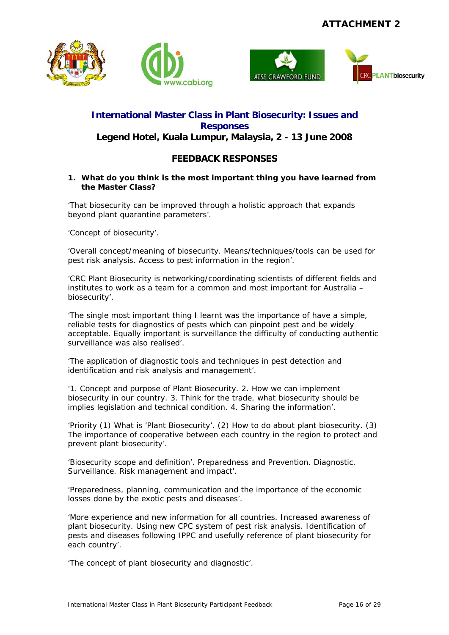





## **International Master Class in Plant Biosecurity: Issues and Responses Legend Hotel, Kuala Lumpur, Malaysia, 2 - 13 June 2008**

## **FEEDBACK RESPONSES**

#### **1. What do you think is the most important thing you have learned from the Master Class?**

'That biosecurity can be improved through a holistic approach that expands beyond plant quarantine parameters'.

'Concept of biosecurity'.

'Overall concept/meaning of biosecurity. Means/techniques/tools can be used for pest risk analysis. Access to pest information in the region'.

'CRC Plant Biosecurity is networking/coordinating scientists of different fields and institutes to work as a team for a common and most important for Australia – biosecurity'.

'The single most important thing I learnt was the importance of have a simple, reliable tests for diagnostics of pests which can pinpoint pest and be widely acceptable. Equally important is surveillance the difficulty of conducting authentic surveillance was also realised'.

'The application of diagnostic tools and techniques in pest detection and identification and risk analysis and management'.

'1. Concept and purpose of Plant Biosecurity. 2. How we can implement biosecurity in our country. 3. Think for the trade, what biosecurity should be implies legislation and technical condition. 4. Sharing the information'.

'Priority (1) What is 'Plant Biosecurity'. (2) How to do about plant biosecurity. (3) The importance of cooperative between each country in the region to protect and prevent plant biosecurity'.

'Biosecurity scope and definition'. Preparedness and Prevention. Diagnostic. Surveillance. Risk management and impact'.

'Preparedness, planning, communication and the importance of the economic losses done by the exotic pests and diseases'.

'More experience and new information for all countries. Increased awareness of plant biosecurity. Using new CPC system of pest risk analysis. Identification of pests and diseases following IPPC and usefully reference of plant biosecurity for each country'.

'The concept of plant biosecurity and diagnostic'.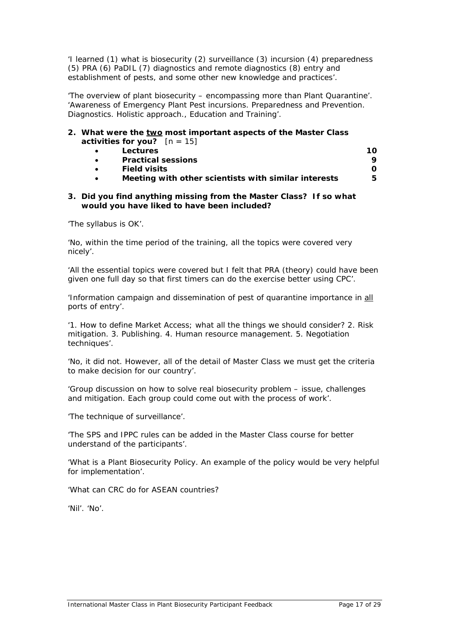'I learned (1) what is biosecurity (2) surveillance (3) incursion (4) preparedness (5) PRA (6) PaDIL (7) diagnostics and remote diagnostics (8) entry and establishment of pests, and some other new knowledge and practices'.

'The overview of plant biosecurity – encompassing more than Plant Quarantine'. 'Awareness of Emergency Plant Pest incursions. Preparedness and Prevention. Diagnostics. Holistic approach., Education and Training'.

#### **2. What were the two most important aspects of the Master Class activities for you?**  $[n = 15]$

|           | Lectures                                             | 10. |
|-----------|------------------------------------------------------|-----|
| $\bullet$ | <b>Practical sessions</b>                            |     |
|           | <b>Field visits</b>                                  |     |
| $\bullet$ | Meeting with other scientists with similar interests | 5   |
|           |                                                      |     |

#### **3. Did you find anything missing from the Master Class? If so what would you have liked to have been included?**

'The syllabus is OK'.

'No, within the time period of the training, all the topics were covered very nicely'.

'All the essential topics were covered but I felt that PRA (theory) could have been given one full day so that first timers can do the exercise better using CPC'.

'Information campaign and dissemination of pest of quarantine importance in all ports of entry'.

'1. How to define Market Access; what all the things we should consider? 2. Risk mitigation. 3. Publishing. 4. Human resource management. 5. Negotiation techniques'.

'No, it did not. However, all of the detail of Master Class we must get the criteria to make decision for our country'.

'Group discussion on how to solve real biosecurity problem – issue, challenges and mitigation. Each group could come out with the process of work'.

'The technique of surveillance'.

'The SPS and IPPC rules can be added in the Master Class course for better understand of the participants'.

'What is a Plant Biosecurity Policy. An example of the policy would be very helpful for implementation'.

'What can CRC do for ASEAN countries?

'Nil'. 'No'.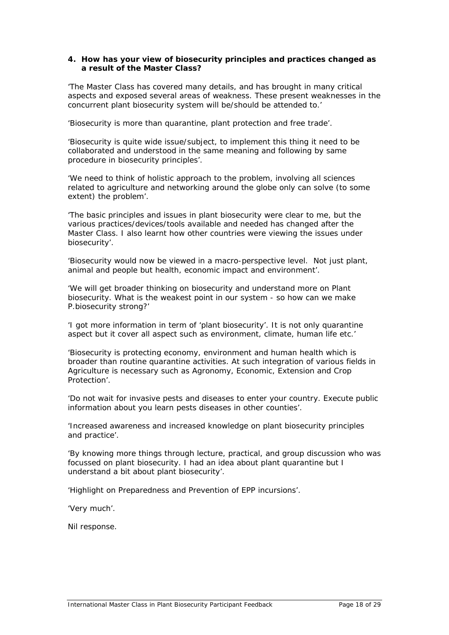#### **4. How has your view of biosecurity principles and practices changed as a result of the Master Class?**

'The Master Class has covered many details, and has brought in many critical aspects and exposed several areas of weakness. These present weaknesses in the concurrent plant biosecurity system will be/should be attended to.'

'Biosecurity is more than quarantine, plant protection and free trade'.

'Biosecurity is quite wide issue/subject, to implement this thing it need to be collaborated and understood in the same meaning and following by same procedure in biosecurity principles'.

'We need to think of holistic approach to the problem, involving all sciences related to agriculture and networking around the globe only can solve (to some extent) the problem'.

'The basic principles and issues in plant biosecurity were clear to me, but the various practices/devices/tools available and needed has changed after the Master Class. I also learnt how other countries were viewing the issues under biosecurity'.

'Biosecurity would now be viewed in a macro-perspective level. Not just plant, animal and people but health, economic impact and environment'.

'We will get broader thinking on biosecurity and understand more on Plant biosecurity. What is the weakest point in our system - so how can we make P.biosecurity strong?'

'I got more information in term of 'plant biosecurity'. It is not only quarantine aspect but it cover all aspect such as environment, climate, human life etc.'

'Biosecurity is protecting economy, environment and human health which is broader than routine quarantine activities. At such integration of various fields in Agriculture is necessary such as Agronomy, Economic, Extension and Crop Protection'.

'Do not wait for invasive pests and diseases to enter your country. Execute public information about you learn pests diseases in other counties'.

'Increased awareness and increased knowledge on plant biosecurity principles and practice'.

'By knowing more things through lecture, practical, and group discussion who was focussed on plant biosecurity. I had an idea about plant quarantine but I understand a bit about plant biosecurity'.

'Highlight on Preparedness and Prevention of EPP incursions'.

'Very much'.

Nil response.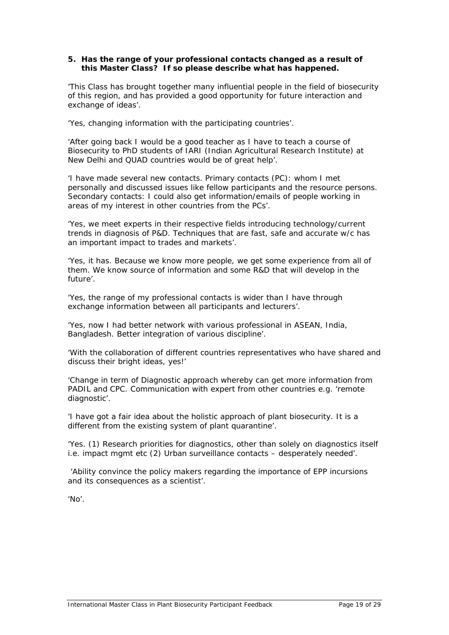#### **5. Has the range of your professional contacts changed as a result of this Master Class? If so please describe what has happened.**

'This Class has brought together many influential people in the field of biosecurity of this region, and has provided a good opportunity for future interaction and exchange of ideas'.

'Yes, changing information with the participating countries'.

'After going back I would be a good teacher as I have to teach a course of Biosecurity to PhD students of IARI (Indian Agricultural Research Institute) at New Delhi and QUAD countries would be of great help'.

'I have made several new contacts. Primary contacts (PC): whom I met personally and discussed issues like fellow participants and the resource persons. Secondary contacts: I could also get information/emails of people working in areas of my interest in other countries from the PCs'.

'Yes, we meet experts in their respective fields introducing technology/current trends in diagnosis of P&D. Techniques that are fast, safe and accurate w/c has an important impact to trades and markets'.

'Yes, it has. Because we know more people, we get some experience from all of them. We know source of information and some R&D that will develop in the future'.

'Yes, the range of my professional contacts is wider than I have through exchange information between all participants and lecturers'.

'Yes, now I had better network with various professional in ASEAN, India, Bangladesh. Better integration of various discipline'.

'With the collaboration of different countries representatives who have shared and discuss their bright ideas, yes!'

'Change in term of Diagnostic approach whereby can get more information from PADIL and CPC. Communication with expert from other countries e.g. 'remote diagnostic'.

'I have got a fair idea about the holistic approach of plant biosecurity. It is a different from the existing system of plant quarantine'.

'Yes. (1) Research priorities for diagnostics, other than solely on diagnostics itself i.e. impact mgmt etc (2) Urban surveillance contacts – desperately needed'.

 'Ability convince the policy makers regarding the importance of EPP incursions and its consequences as a scientist'.

'No'.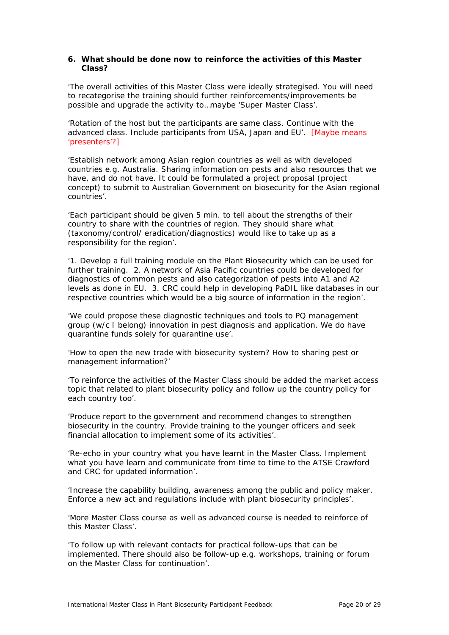#### **6. What should be done now to reinforce the activities of this Master Class?**

'The overall activities of this Master Class were ideally strategised. You will need to recategorise the training should further reinforcements/improvements be possible and upgrade the activity to…maybe 'Super Master Class'.

'Rotation of the host but the participants are same class. Continue with the advanced class. Include participants from USA, Japan and EU'. [Maybe means 'presenters'?]

'Establish network among Asian region countries as well as with developed countries e.g. Australia. Sharing information on pests and also resources that we have, and do not have. It could be formulated a project proposal (project concept) to submit to Australian Government on biosecurity for the Asian regional countries'.

'Each participant should be given 5 min. to tell about the strengths of their country to share with the countries of region. They should share what (taxonomy/control/ eradication/diagnostics) would like to take up as a responsibility for the region'.

'1. Develop a full training module on the Plant Biosecurity which can be used for further training. 2. A network of Asia Pacific countries could be developed for diagnostics of common pests and also categorization of pests into A1 and A2 levels as done in EU. 3. CRC could help in developing PaDIL like databases in our respective countries which would be a big source of information in the region'.

'We could propose these diagnostic techniques and tools to PQ management group (w/c I belong) innovation in pest diagnosis and application. We do have quarantine funds solely for quarantine use'.

'How to open the new trade with biosecurity system? How to sharing pest or management information?'

'To reinforce the activities of the Master Class should be added the market access topic that related to plant biosecurity policy and follow up the country policy for each country too'.

'Produce report to the government and recommend changes to strengthen biosecurity in the country. Provide training to the younger officers and seek financial allocation to implement some of its activities'.

'Re-echo in your country what you have learnt in the Master Class. Implement what you have learn and communicate from time to time to the ATSE Crawford and CRC for updated information'.

'Increase the capability building, awareness among the public and policy maker. Enforce a new act and regulations include with plant biosecurity principles'.

'More Master Class course as well as advanced course is needed to reinforce of this Master Class'.

'To follow up with relevant contacts for practical follow-ups that can be implemented. There should also be follow-up e.g. workshops, training or forum on the Master Class for continuation'.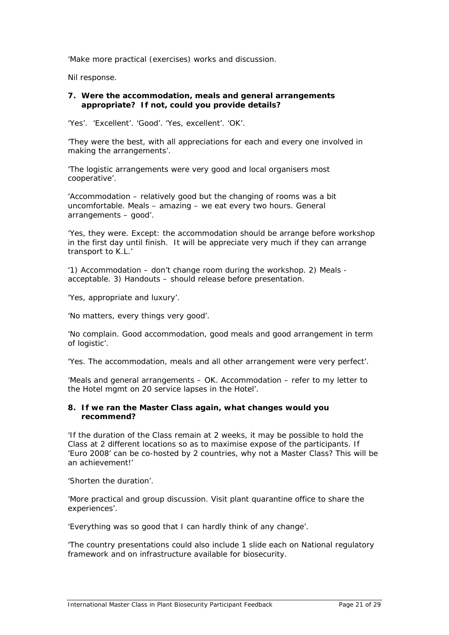'Make more practical (exercises) works and discussion.

Nil response.

#### **7. Were the accommodation, meals and general arrangements appropriate? If not, could you provide details?**

'Yes'. 'Excellent'. 'Good'. 'Yes, excellent'. 'OK'.

'They were the best, with all appreciations for each and every one involved in making the arrangements'.

'The logistic arrangements were very good and local organisers most cooperative'.

'Accommodation – relatively good but the changing of rooms was a bit uncomfortable. Meals – amazing – we eat every two hours. General arrangements – good'.

'Yes, they were. Except: the accommodation should be arrange before workshop in the first day until finish. It will be appreciate very much if they can arrange transport to K.L.'

'1) Accommodation – don't change room during the workshop. 2) Meals acceptable. 3) Handouts – should release before presentation.

'Yes, appropriate and luxury'.

'No matters, every things very good'.

'No complain. Good accommodation, good meals and good arrangement in term of logistic'.

'Yes. The accommodation, meals and all other arrangement were very perfect'.

'Meals and general arrangements – OK. Accommodation – refer to my letter to the Hotel mgmt on 20 service lapses in the Hotel'.

#### **8. If we ran the Master Class again, what changes would you recommend?**

'If the duration of the Class remain at 2 weeks, it may be possible to hold the Class at 2 different locations so as to maximise expose of the participants. If 'Euro 2008' can be co-hosted by 2 countries, why not a Master Class? This will be an achievement!'

'Shorten the duration'.

'More practical and group discussion. Visit plant quarantine office to share the experiences'.

'Everything was so good that I can hardly think of any change'.

'The country presentations could also include 1 slide each on National regulatory framework and on infrastructure available for biosecurity.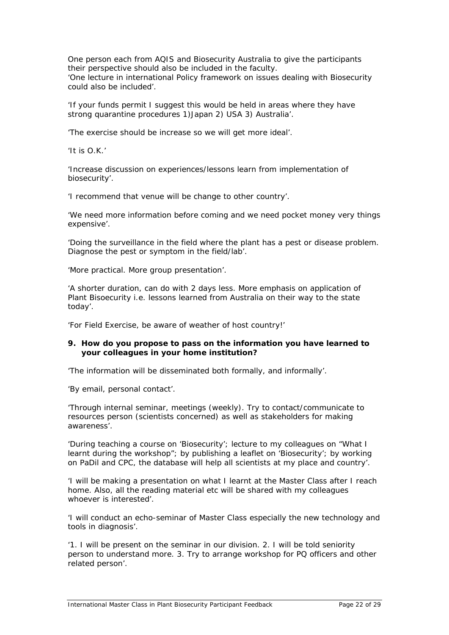One person each from AQIS and Biosecurity Australia to give the participants their perspective should also be included in the faculty. 'One lecture in international Policy framework on issues dealing with Biosecurity could also be included'.

'If your funds permit I suggest this would be held in areas where they have strong quarantine procedures 1)Japan 2) USA 3) Australia'.

'The exercise should be increase so we will get more ideal'.

'It is O.K.'

'Increase discussion on experiences/lessons learn from implementation of biosecurity'.

'I recommend that venue will be change to other country'.

'We need more information before coming and we need pocket money very things expensive'.

'Doing the surveillance in the field where the plant has a pest or disease problem. Diagnose the pest or symptom in the field/lab'.

'More practical. More group presentation'.

'A shorter duration, can do with 2 days less. More emphasis on application of Plant Bisoecurity i.e. lessons learned from Australia on their way to the state today'.

'For Field Exercise, be aware of weather of host country!'

#### **9. How do you propose to pass on the information you have learned to your colleagues in your home institution?**

'The information will be disseminated both formally, and informally'.

'By email, personal contact'.

'Through internal seminar, meetings (weekly). Try to contact/communicate to resources person (scientists concerned) as well as stakeholders for making awareness'.

'During teaching a course on 'Biosecurity'; lecture to my colleagues on "What I learnt during the workshop"; by publishing a leaflet on 'Biosecurity'; by working on PaDil and CPC, the database will help all scientists at my place and country'.

'I will be making a presentation on what I learnt at the Master Class after I reach home. Also, all the reading material etc will be shared with my colleagues whoever is interested'.

'I will conduct an echo-seminar of Master Class especially the new technology and tools in diagnosis'.

'1. I will be present on the seminar in our division. 2. I will be told seniority person to understand more. 3. Try to arrange workshop for PQ officers and other related person'.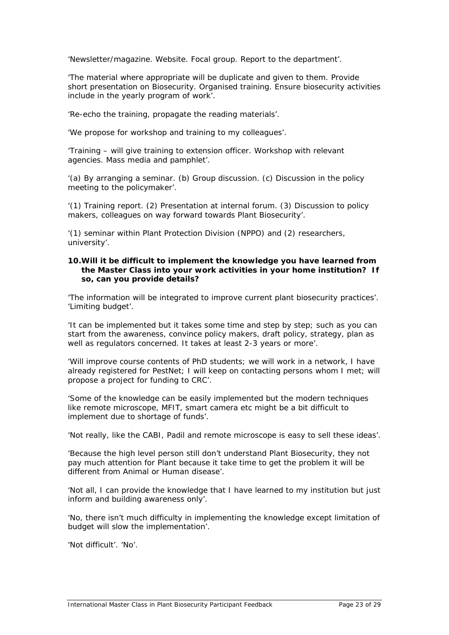'Newsletter/magazine. Website. Focal group. Report to the department'.

'The material where appropriate will be duplicate and given to them. Provide short presentation on Biosecurity. Organised training. Ensure biosecurity activities include in the yearly program of work'.

'Re-echo the training, propagate the reading materials'.

'We propose for workshop and training to my colleagues'.

'Training – will give training to extension officer. Workshop with relevant agencies. Mass media and pamphlet'.

'(a) By arranging a seminar. (b) Group discussion. (c) Discussion in the policy meeting to the policymaker'.

'(1) Training report. (2) Presentation at internal forum. (3) Discussion to policy makers, colleagues on way forward towards Plant Biosecurity'.

'(1) seminar within Plant Protection Division (NPPO) and (2) researchers, university'.

#### **10.Will it be difficult to implement the knowledge you have learned from the Master Class into your work activities in your home institution? If so, can you provide details?**

'The information will be integrated to improve current plant biosecurity practices'. 'Limiting budget'.

'It can be implemented but it takes some time and step by step; such as you can start from the awareness, convince policy makers, draft policy, strategy, plan as well as regulators concerned. It takes at least 2-3 years or more'.

'Will improve course contents of PhD students; we will work in a network, I have already registered for PestNet; I will keep on contacting persons whom I met; will propose a project for funding to CRC'.

'Some of the knowledge can be easily implemented but the modern techniques like remote microscope, MFIT, smart camera etc might be a bit difficult to implement due to shortage of funds'.

'Not really, like the CABI, Padil and remote microscope is easy to sell these ideas'.

'Because the high level person still don't understand Plant Biosecurity, they not pay much attention for Plant because it take time to get the problem it will be different from Animal or Human disease'.

'Not all, I can provide the knowledge that I have learned to my institution but just inform and building awareness only'.

'No, there isn't much difficulty in implementing the knowledge except limitation of budget will slow the implementation'.

'Not difficult'. 'No'.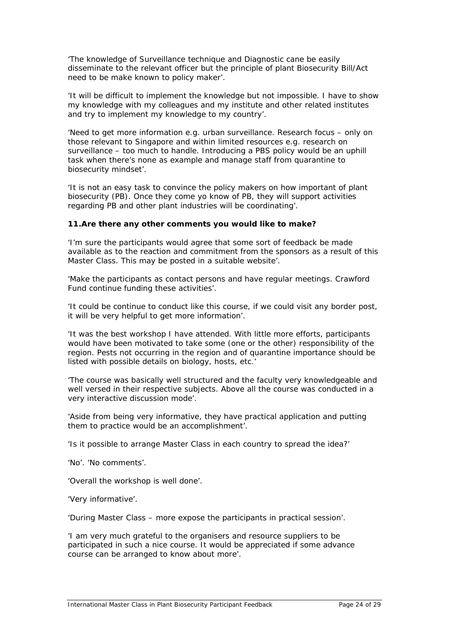'The knowledge of Surveillance technique and Diagnostic cane be easily disseminate to the relevant officer but the principle of plant Biosecurity Bill/Act need to be make known to policy maker'.

'It will be difficult to implement the knowledge but not impossible. I have to show my knowledge with my colleagues and my institute and other related institutes and try to implement my knowledge to my country'.

'Need to get more information e.g. urban surveillance. Research focus – only on those relevant to Singapore and within limited resources e.g. research on surveillance – too much to handle. Introducing a PBS policy would be an uphill task when there's none as example and manage staff from quarantine to biosecurity mindset'.

'It is not an easy task to convince the policy makers on how important of plant biosecurity (PB). Once they come yo know of PB, they will support activities regarding PB and other plant industries will be coordinating'.

#### **11.Are there any other comments you would like to make?**

'I'm sure the participants would agree that some sort of feedback be made available as to the reaction and commitment from the sponsors as a result of this Master Class. This may be posted in a suitable website'.

'Make the participants as contact persons and have regular meetings. Crawford Fund continue funding these activities'.

'It could be continue to conduct like this course, if we could visit any border post, it will be very helpful to get more information'.

'It was the best workshop I have attended. With little more efforts, participants would have been motivated to take some (one or the other) responsibility of the region. Pests not occurring in the region and of quarantine importance should be listed with possible details on biology, hosts, etc.'

'The course was basically well structured and the faculty very knowledgeable and well versed in their respective subjects. Above all the course was conducted in a very interactive discussion mode'.

'Aside from being very informative, they have practical application and putting them to practice would be an accomplishment'.

'Is it possible to arrange Master Class in each country to spread the idea?'

'No'. 'No comments'.

'Overall the workshop is well done'.

'Very informative'.

'During Master Class – more expose the participants in practical session'.

'I am very much grateful to the organisers and resource suppliers to be participated in such a nice course. It would be appreciated if some advance course can be arranged to know about more'.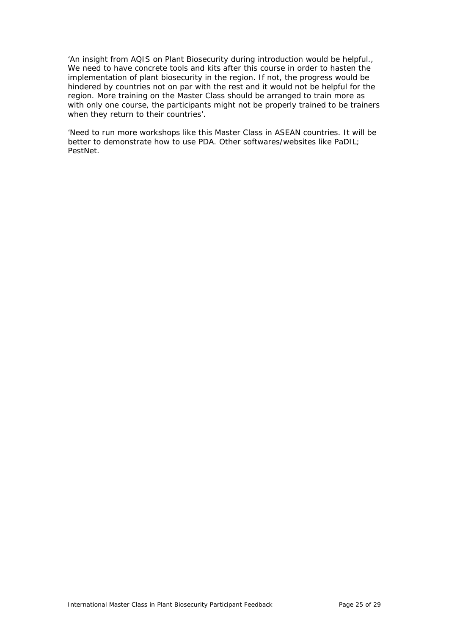'An insight from AQIS on Plant Biosecurity during introduction would be helpful., We need to have concrete tools and kits after this course in order to hasten the implementation of plant biosecurity in the region. If not, the progress would be hindered by countries not on par with the rest and it would not be helpful for the region. More training on the Master Class should be arranged to train more as with only one course, the participants might not be properly trained to be trainers when they return to their countries'.

'Need to run more workshops like this Master Class in ASEAN countries. It will be better to demonstrate how to use PDA. Other softwares/websites like PaDIL; PestNet.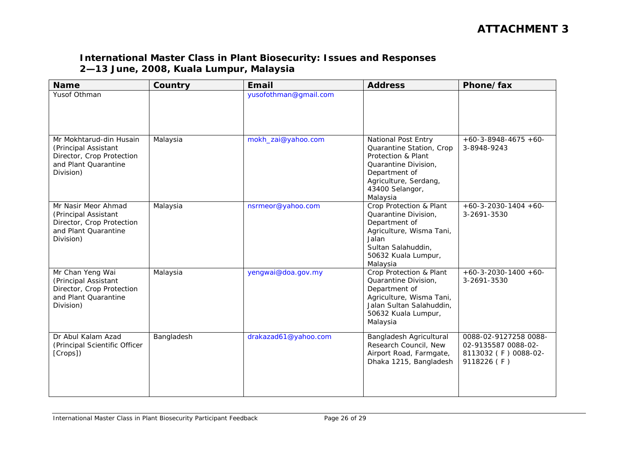## **International Master Class in Plant Biosecurity: Issues and Responses 2—13 June, 2008, Kuala Lumpur, Malaysia**

| <b>Name</b>                                                                                                       | Country    | Email                 | <b>Address</b>                                                                                                                                                         | Phone/fax                                                                           |
|-------------------------------------------------------------------------------------------------------------------|------------|-----------------------|------------------------------------------------------------------------------------------------------------------------------------------------------------------------|-------------------------------------------------------------------------------------|
| Yusof Othman                                                                                                      |            | yusofothman@gmail.com |                                                                                                                                                                        |                                                                                     |
| Mr Mokhtarud-din Husain<br>(Principal Assistant<br>Director, Crop Protection<br>and Plant Quarantine<br>Division) | Malaysia   | mokh_zai@yahoo.com    | National Post Entry<br>Quarantine Station, Crop<br>Protection & Plant<br>Quarantine Division.<br>Department of<br>Agriculture, Serdang,<br>43400 Selangor,<br>Malaysia | $+60-3-8948-4675+60-$<br>3-8948-9243                                                |
| Mr Nasir Meor Ahmad<br>(Principal Assistant<br>Director, Crop Protection<br>and Plant Quarantine<br>Division)     | Malaysia   | nsrmeor@yahoo.com     | Crop Protection & Plant<br>Quarantine Division,<br>Department of<br>Agriculture, Wisma Tani,<br>Jalan<br>Sultan Salahuddin,<br>50632 Kuala Lumpur,<br>Malaysia         | $+60-3-2030-1404+60-$<br>3-2691-3530                                                |
| Mr Chan Yeng Wai<br>(Principal Assistant<br>Director, Crop Protection<br>and Plant Quarantine<br>Division)        | Malaysia   | yengwai@doa.gov.my    | Crop Protection & Plant<br>Quarantine Division,<br>Department of<br>Agriculture, Wisma Tani,<br>Jalan Sultan Salahuddin,<br>50632 Kuala Lumpur,<br>Malaysia            | $+60-3-2030-1400+60-$<br>3-2691-3530                                                |
| Dr Abul Kalam Azad<br>(Principal Scientific Officer<br>[Crops])                                                   | Bangladesh | drakazad61@yahoo.com  | Bangladesh Agricultural<br>Research Council, New<br>Airport Road, Farmgate,<br>Dhaka 1215, Bangladesh                                                                  | 0088-02-9127258 0088-<br>02-9135587 0088-02-<br>8113032 (F) 0088-02-<br>9118226 (F) |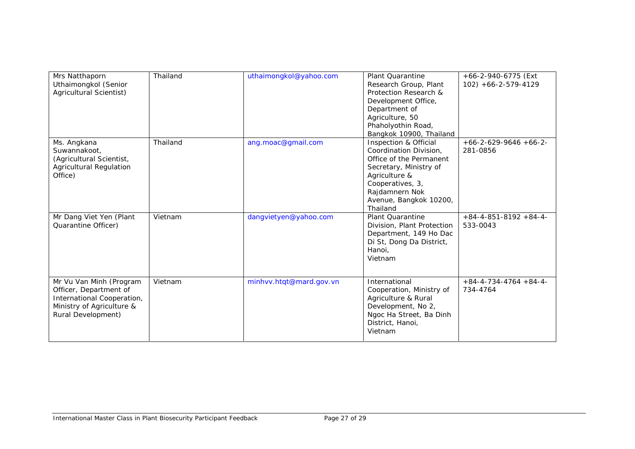| Mrs Natthaporn<br>Uthaimongkol (Senior<br>Agricultural Scientist)                                                                  | Thailand | uthaimongkol@yahoo.com  | Plant Quarantine<br>Research Group, Plant<br>Protection Research &<br>Development Office,<br>Department of<br>Agriculture, 50<br>Phaholyothin Road,<br>Bangkok 10900, Thailand                    | +66-2-940-6775 (Ext<br>$102$ ) +66-2-579-4129 |
|------------------------------------------------------------------------------------------------------------------------------------|----------|-------------------------|---------------------------------------------------------------------------------------------------------------------------------------------------------------------------------------------------|-----------------------------------------------|
| Ms. Angkana<br>Suwannakoot,<br>(Agricultural Scientist,<br><b>Agricultural Regulation</b><br>Office)                               | Thailand | ang.moac@gmail.com      | Inspection & Official<br>Coordination Division,<br>Office of the Permanent<br>Secretary, Ministry of<br>Agriculture &<br>Cooperatives, 3,<br>Rajdamnern Nok<br>Avenue, Bangkok 10200,<br>Thailand | $+66-2-629-9646+66-2-$<br>281-0856            |
| Mr Dang Viet Yen (Plant<br>Quarantine Officer)                                                                                     | Vietnam  | dangvietyen@yahoo.com   | <b>Plant Quarantine</b><br>Division, Plant Protection<br>Department, 149 Ho Dac<br>Di St, Dong Da District,<br>Hanoi,<br>Vietnam                                                                  | $+84-4-851-8192+84-4-$<br>533-0043            |
| Mr Vu Van Minh (Program<br>Officer, Department of<br>International Cooperation,<br>Ministry of Agriculture &<br>Rural Development) | Vietnam  | minhvv.htqt@mard.gov.vn | International<br>Cooperation, Ministry of<br>Agriculture & Rural<br>Development, No 2,<br>Ngoc Ha Street, Ba Dinh<br>District, Hanoi,<br>Vietnam                                                  | $+84-4-734-4764+84-4-$<br>734-4764            |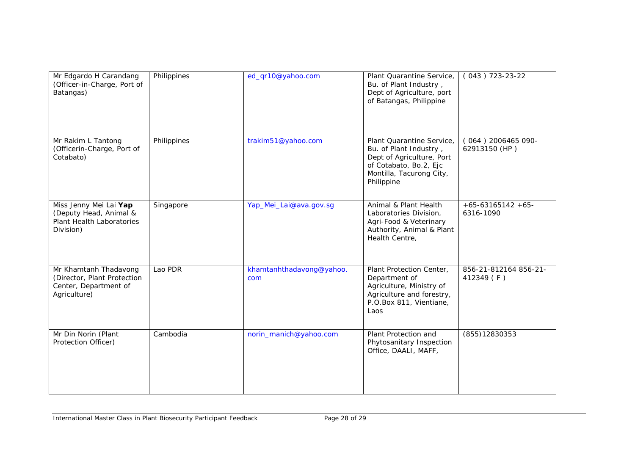| Mr Edgardo H Carandang<br>(Officer-in-Charge, Port of<br>Batangas)                            | Philippines | ed_qr10@yahoo.com               | Plant Quarantine Service,<br>Bu. of Plant Industry,<br>Dept of Agriculture, port<br>of Batangas, Philippine                                          | $(043) 723 - 23 - 22$                 |
|-----------------------------------------------------------------------------------------------|-------------|---------------------------------|------------------------------------------------------------------------------------------------------------------------------------------------------|---------------------------------------|
| Mr Rakim L Tantong<br>(Officerin-Charge, Port of<br>Cotabato)                                 | Philippines | trakim51@yahoo.com              | Plant Quarantine Service,<br>Bu. of Plant Industry,<br>Dept of Agriculture, Port<br>of Cotabato, Bo.2, Ejc<br>Montilla, Tacurong City,<br>Philippine | $(064)$ 2006465 090-<br>62913150 (HP) |
| Miss Jenny Mei Lai Yap<br>(Deputy Head, Animal &<br>Plant Health Laboratories<br>Division)    | Singapore   | Yap_Mei_Lai@ava.gov.sg          | Animal & Plant Health<br>Laboratories Division,<br>Agri-Food & Veterinary<br>Authority, Animal & Plant<br>Health Centre,                             | $+65-63165142+65-$<br>6316-1090       |
| Mr Khamtanh Thadavong<br>(Director, Plant Protection<br>Center, Department of<br>Agriculture) | Lao PDR     | khamtanhthadavong@yahoo.<br>com | Plant Protection Center,<br>Department of<br>Agriculture, Ministry of<br>Agriculture and forestry,<br>P.O.Box 811, Vientiane,<br>Laos                | 856-21-812164 856-21-<br>412349 (F)   |
| Mr Din Norin (Plant<br>Protection Officer)                                                    | Cambodia    | norin_manich@yahoo.com          | Plant Protection and<br>Phytosanitary Inspection<br>Office, DAALI, MAFF,                                                                             | (855) 12830353                        |